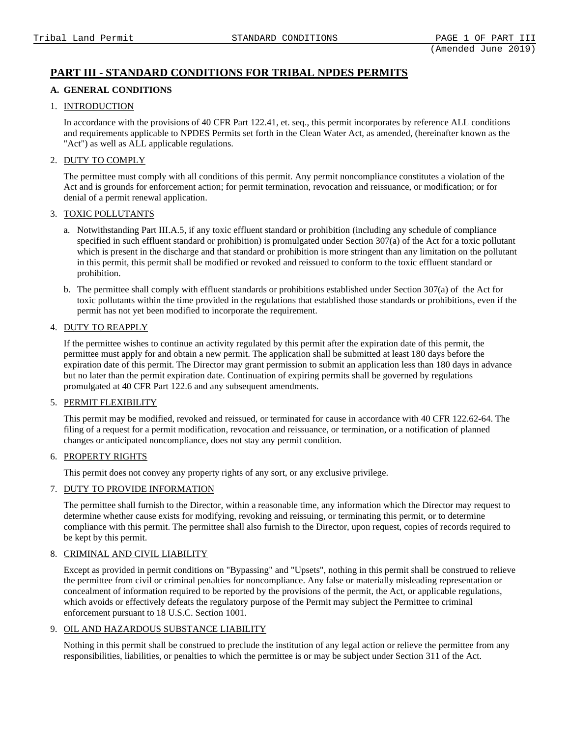# **PART III - STANDARD CONDITIONS FOR TRIBAL NPDES PERMITS**

# **A. GENERAL CONDITIONS**

### 1. INTRODUCTION

In accordance with the provisions of 40 CFR Part 122.41, et. seq., this permit incorporates by reference ALL conditions and requirements applicable to NPDES Permits set forth in the Clean Water Act, as amended, (hereinafter known as the "Act") as well as ALL applicable regulations.

# 2. DUTY TO COMPLY

The permittee must comply with all conditions of this permit. Any permit noncompliance constitutes a violation of the Act and is grounds for enforcement action; for permit termination, revocation and reissuance, or modification; or for denial of a permit renewal application.

### 3. TOXIC POLLUTANTS

- a. Notwithstanding Part III.A.5, if any toxic effluent standard or prohibition (including any schedule of compliance specified in such effluent standard or prohibition) is promulgated under Section 307(a) of the Act for a toxic pollutant which is present in the discharge and that standard or prohibition is more stringent than any limitation on the pollutant in this permit, this permit shall be modified or revoked and reissued to conform to the toxic effluent standard or prohibition.
- b. The permittee shall comply with effluent standards or prohibitions established under Section 307(a) of the Act for toxic pollutants within the time provided in the regulations that established those standards or prohibitions, even if the permit has not yet been modified to incorporate the requirement.

# 4. DUTY TO REAPPLY

If the permittee wishes to continue an activity regulated by this permit after the expiration date of this permit, the permittee must apply for and obtain a new permit. The application shall be submitted at least 180 days before the expiration date of this permit. The Director may grant permission to submit an application less than 180 days in advance but no later than the permit expiration date. Continuation of expiring permits shall be governed by regulations promulgated at 40 CFR Part 122.6 and any subsequent amendments.

### 5. PERMIT FLEXIBILITY

This permit may be modified, revoked and reissued, or terminated for cause in accordance with 40 CFR 122.62-64. The filing of a request for a permit modification, revocation and reissuance, or termination, or a notification of planned changes or anticipated noncompliance, does not stay any permit condition.

# 6. PROPERTY RIGHTS

This permit does not convey any property rights of any sort, or any exclusive privilege.

# 7. DUTY TO PROVIDE INFORMATION

The permittee shall furnish to the Director, within a reasonable time, any information which the Director may request to determine whether cause exists for modifying, revoking and reissuing, or terminating this permit, or to determine compliance with this permit. The permittee shall also furnish to the Director, upon request, copies of records required to be kept by this permit.

# 8. CRIMINAL AND CIVIL LIABILITY

Except as provided in permit conditions on "Bypassing" and "Upsets", nothing in this permit shall be construed to relieve the permittee from civil or criminal penalties for noncompliance. Any false or materially misleading representation or concealment of information required to be reported by the provisions of the permit, the Act, or applicable regulations, which avoids or effectively defeats the regulatory purpose of the Permit may subject the Permittee to criminal enforcement pursuant to 18 U.S.C. Section 1001.

# 9. OIL AND HAZARDOUS SUBSTANCE LIABILITY

Nothing in this permit shall be construed to preclude the institution of any legal action or relieve the permittee from any responsibilities, liabilities, or penalties to which the permittee is or may be subject under Section 311 of the Act.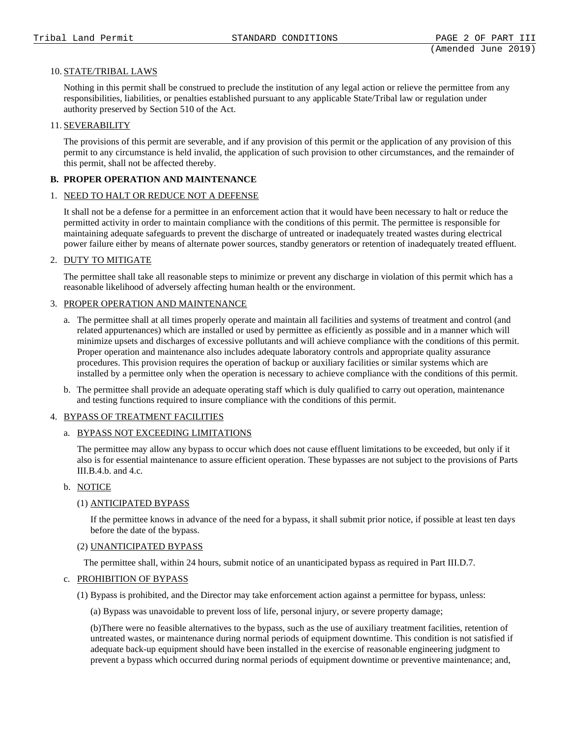### 10. STATE/TRIBAL LAWS

Nothing in this permit shall be construed to preclude the institution of any legal action or relieve the permittee from any responsibilities, liabilities, or penalties established pursuant to any applicable State/Tribal law or regulation under authority preserved by Section 510 of the Act.

### 11. SEVERABILITY

The provisions of this permit are severable, and if any provision of this permit or the application of any provision of this permit to any circumstance is held invalid, the application of such provision to other circumstances, and the remainder of this permit, shall not be affected thereby.

### **B. PROPER OPERATION AND MAINTENANCE**

### 1. NEED TO HALT OR REDUCE NOT A DEFENSE

It shall not be a defense for a permittee in an enforcement action that it would have been necessary to halt or reduce the permitted activity in order to maintain compliance with the conditions of this permit. The permittee is responsible for maintaining adequate safeguards to prevent the discharge of untreated or inadequately treated wastes during electrical power failure either by means of alternate power sources, standby generators or retention of inadequately treated effluent.

### 2. DUTY TO MITIGATE

The permittee shall take all reasonable steps to minimize or prevent any discharge in violation of this permit which has a reasonable likelihood of adversely affecting human health or the environment.

### 3. PROPER OPERATION AND MAINTENANCE

- a. The permittee shall at all times properly operate and maintain all facilities and systems of treatment and control (and related appurtenances) which are installed or used by permittee as efficiently as possible and in a manner which will minimize upsets and discharges of excessive pollutants and will achieve compliance with the conditions of this permit. Proper operation and maintenance also includes adequate laboratory controls and appropriate quality assurance procedures. This provision requires the operation of backup or auxiliary facilities or similar systems which are installed by a permittee only when the operation is necessary to achieve compliance with the conditions of this permit.
- b. The permittee shall provide an adequate operating staff which is duly qualified to carry out operation, maintenance and testing functions required to insure compliance with the conditions of this permit.

### 4. BYPASS OF TREATMENT FACILITIES

### a. BYPASS NOT EXCEEDING LIMITATIONS

The permittee may allow any bypass to occur which does not cause effluent limitations to be exceeded, but only if it also is for essential maintenance to assure efficient operation. These bypasses are not subject to the provisions of Parts III.B.4.b. and 4.c.

### b. NOTICE

### (1) ANTICIPATED BYPASS

If the permittee knows in advance of the need for a bypass, it shall submit prior notice, if possible at least ten days before the date of the bypass.

### (2) UNANTICIPATED BYPASS

The permittee shall, within 24 hours, submit notice of an unanticipated bypass as required in Part III.D.7.

### c. PROHIBITION OF BYPASS

(1) Bypass is prohibited, and the Director may take enforcement action against a permittee for bypass, unless:

(a) Bypass was unavoidable to prevent loss of life, personal injury, or severe property damage;

(b)There were no feasible alternatives to the bypass, such as the use of auxiliary treatment facilities, retention of untreated wastes, or maintenance during normal periods of equipment downtime. This condition is not satisfied if adequate back-up equipment should have been installed in the exercise of reasonable engineering judgment to prevent a bypass which occurred during normal periods of equipment downtime or preventive maintenance; and,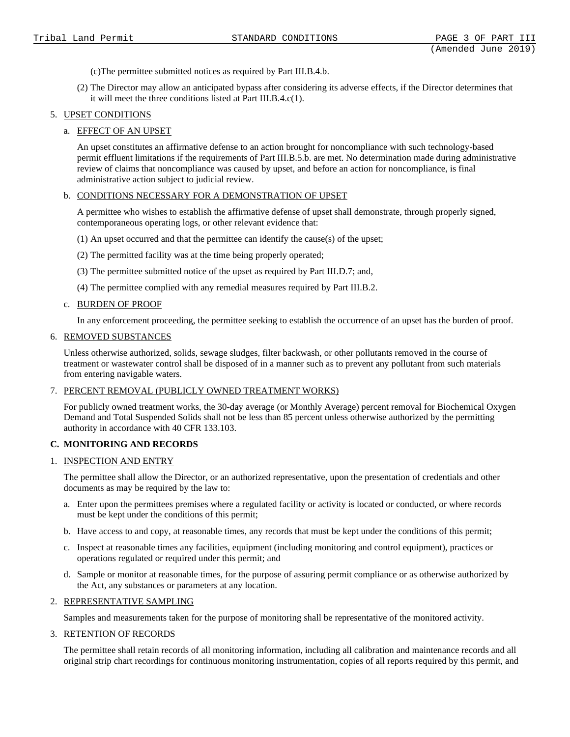- (c)The permittee submitted notices as required by Part III.B.4.b.
- (2) The Director may allow an anticipated bypass after considering its adverse effects, if the Director determines that it will meet the three conditions listed at Part III.B.4.c(1).

### 5. UPSET CONDITIONS

### a. EFFECT OF AN UPSET

An upset constitutes an affirmative defense to an action brought for noncompliance with such technology-based permit effluent limitations if the requirements of Part III.B.5.b. are met. No determination made during administrative review of claims that noncompliance was caused by upset, and before an action for noncompliance, is final administrative action subject to judicial review.

### b. CONDITIONS NECESSARY FOR A DEMONSTRATION OF UPSET

A permittee who wishes to establish the affirmative defense of upset shall demonstrate, through properly signed, contemporaneous operating logs, or other relevant evidence that:

- (1) An upset occurred and that the permittee can identify the cause(s) of the upset;
- (2) The permitted facility was at the time being properly operated;
- (3) The permittee submitted notice of the upset as required by Part III.D.7; and,
- (4) The permittee complied with any remedial measures required by Part III.B.2.

### c. BURDEN OF PROOF

In any enforcement proceeding, the permittee seeking to establish the occurrence of an upset has the burden of proof.

### 6. REMOVED SUBSTANCES

Unless otherwise authorized, solids, sewage sludges, filter backwash, or other pollutants removed in the course of treatment or wastewater control shall be disposed of in a manner such as to prevent any pollutant from such materials from entering navigable waters.

### 7. PERCENT REMOVAL (PUBLICLY OWNED TREATMENT WORKS)

For publicly owned treatment works, the 30-day average (or Monthly Average) percent removal for Biochemical Oxygen Demand and Total Suspended Solids shall not be less than 85 percent unless otherwise authorized by the permitting authority in accordance with 40 CFR 133.103.

# **C. MONITORING AND RECORDS**

# 1. INSPECTION AND ENTRY

The permittee shall allow the Director, or an authorized representative, upon the presentation of credentials and other documents as may be required by the law to:

- a. Enter upon the permittees premises where a regulated facility or activity is located or conducted, or where records must be kept under the conditions of this permit;
- b. Have access to and copy, at reasonable times, any records that must be kept under the conditions of this permit;
- c. Inspect at reasonable times any facilities, equipment (including monitoring and control equipment), practices or operations regulated or required under this permit; and
- d. Sample or monitor at reasonable times, for the purpose of assuring permit compliance or as otherwise authorized by the Act, any substances or parameters at any location.

# 2. REPRESENTATIVE SAMPLING

Samples and measurements taken for the purpose of monitoring shall be representative of the monitored activity.

# 3. RETENTION OF RECORDS

The permittee shall retain records of all monitoring information, including all calibration and maintenance records and all original strip chart recordings for continuous monitoring instrumentation, copies of all reports required by this permit, and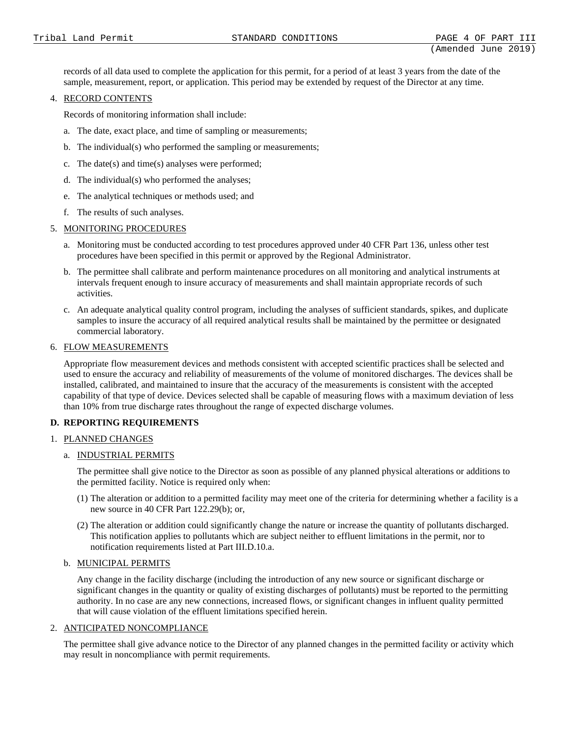records of all data used to complete the application for this permit, for a period of at least 3 years from the date of the sample, measurement, report, or application. This period may be extended by request of the Director at any time.

### 4. RECORD CONTENTS

Records of monitoring information shall include:

- a. The date, exact place, and time of sampling or measurements;
- b. The individual(s) who performed the sampling or measurements;
- c. The date(s) and time(s) analyses were performed;
- d. The individual(s) who performed the analyses;
- e. The analytical techniques or methods used; and
- f. The results of such analyses.

### 5. MONITORING PROCEDURES

- a. Monitoring must be conducted according to test procedures approved under 40 CFR Part 136, unless other test procedures have been specified in this permit or approved by the Regional Administrator.
- b. The permittee shall calibrate and perform maintenance procedures on all monitoring and analytical instruments at intervals frequent enough to insure accuracy of measurements and shall maintain appropriate records of such activities.
- c. An adequate analytical quality control program, including the analyses of sufficient standards, spikes, and duplicate samples to insure the accuracy of all required analytical results shall be maintained by the permittee or designated commercial laboratory.

### 6. FLOW MEASUREMENTS

Appropriate flow measurement devices and methods consistent with accepted scientific practices shall be selected and used to ensure the accuracy and reliability of measurements of the volume of monitored discharges. The devices shall be installed, calibrated, and maintained to insure that the accuracy of the measurements is consistent with the accepted capability of that type of device. Devices selected shall be capable of measuring flows with a maximum deviation of less than 10% from true discharge rates throughout the range of expected discharge volumes.

# **D. REPORTING REQUIREMENTS**

# 1. PLANNED CHANGES

### a. INDUSTRIAL PERMITS

The permittee shall give notice to the Director as soon as possible of any planned physical alterations or additions to the permitted facility. Notice is required only when:

- (1) The alteration or addition to a permitted facility may meet one of the criteria for determining whether a facility is a new source in 40 CFR Part 122.29(b); or,
- (2) The alteration or addition could significantly change the nature or increase the quantity of pollutants discharged. This notification applies to pollutants which are subject neither to effluent limitations in the permit, nor to notification requirements listed at Part III.D.10.a.

### b. MUNICIPAL PERMITS

Any change in the facility discharge (including the introduction of any new source or significant discharge or significant changes in the quantity or quality of existing discharges of pollutants) must be reported to the permitting authority. In no case are any new connections, increased flows, or significant changes in influent quality permitted that will cause violation of the effluent limitations specified herein.

### 2. ANTICIPATED NONCOMPLIANCE

The permittee shall give advance notice to the Director of any planned changes in the permitted facility or activity which may result in noncompliance with permit requirements.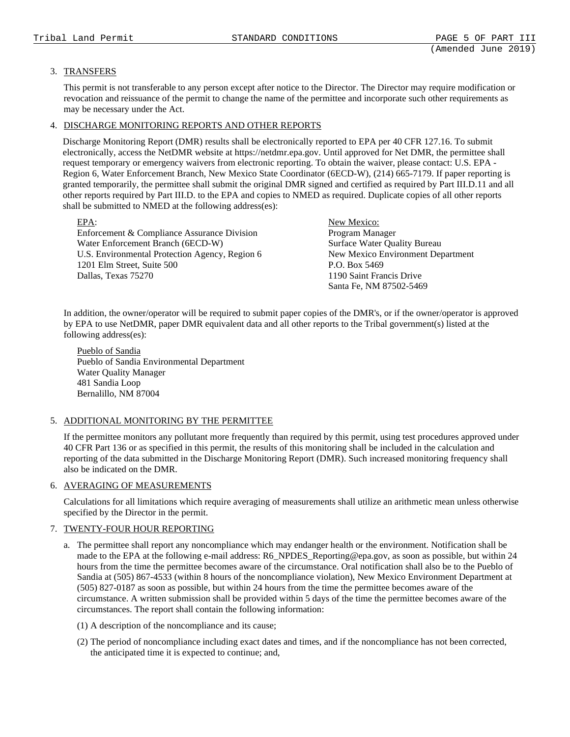# 3. TRANSFERS

This permit is not transferable to any person except after notice to the Director. The Director may require modification or revocation and reissuance of the permit to change the name of the permittee and incorporate such other requirements as may be necessary under the Act.

# 4. DISCHARGE MONITORING REPORTS AND OTHER REPORTS

Discharge Monitoring Report (DMR) results shall be electronically reported to EPA per 40 CFR 127.16. To submit electronically, access the NetDMR website at https://netdmr.epa.gov. Until approved for Net DMR, the permittee shall request temporary or emergency waivers from electronic reporting. To obtain the waiver, please contact: U.S. EPA - Region 6, Water Enforcement Branch, New Mexico State Coordinator (6ECD-W), (214) 665-7179. If paper reporting is granted temporarily, the permittee shall submit the original DMR signed and certified as required by Part III.D.11 and all other reports required by Part III.D. to the EPA and copies to NMED as required. Duplicate copies of all other reports shall be submitted to NMED at the following address(es):

| $EPA$ :                                        | New Mexico:                       |
|------------------------------------------------|-----------------------------------|
| Enforcement & Compliance Assurance Division    | Program Manager                   |
| Water Enforcement Branch (6ECD-W)              | Surface Water Quality Bureau      |
| U.S. Environmental Protection Agency, Region 6 | New Mexico Environment Department |
| 1201 Elm Street, Suite 500                     | P.O. Box 5469                     |
| Dallas, Texas 75270                            | 1190 Saint Francis Drive          |
|                                                | Santa Fe, NM 87502-5469           |

In addition, the owner/operator will be required to submit paper copies of the DMR's, or if the owner/operator is approved by EPA to use NetDMR, paper DMR equivalent data and all other reports to the Tribal government(s) listed at the following address(es):

Pueblo of Sandia Pueblo of Sandia Environmental Department Water Quality Manager 481 Sandia Loop Bernalillo, NM 87004

# 5. ADDITIONAL MONITORING BY THE PERMITTEE

If the permittee monitors any pollutant more frequently than required by this permit, using test procedures approved under 40 CFR Part 136 or as specified in this permit, the results of this monitoring shall be included in the calculation and reporting of the data submitted in the Discharge Monitoring Report (DMR). Such increased monitoring frequency shall also be indicated on the DMR.

# 6. AVERAGING OF MEASUREMENTS

Calculations for all limitations which require averaging of measurements shall utilize an arithmetic mean unless otherwise specified by the Director in the permit.

### 7. TWENTY-FOUR HOUR REPORTING

- a. The permittee shall report any noncompliance which may endanger health or the environment. Notification shall be made to the EPA at the following e-mail address: R6\_NPDES\_Reporting@epa.gov, as soon as possible, but within 24 hours from the time the permittee becomes aware of the circumstance. Oral notification shall also be to the Pueblo of Sandia at (505) 867-4533 (within 8 hours of the noncompliance violation), New Mexico Environment Department at (505) 827-0187 as soon as possible, but within 24 hours from the time the permittee becomes aware of the circumstance. A written submission shall be provided within 5 days of the time the permittee becomes aware of the circumstances. The report shall contain the following information:
	- (1) A description of the noncompliance and its cause;
	- (2) The period of noncompliance including exact dates and times, and if the noncompliance has not been corrected, the anticipated time it is expected to continue; and,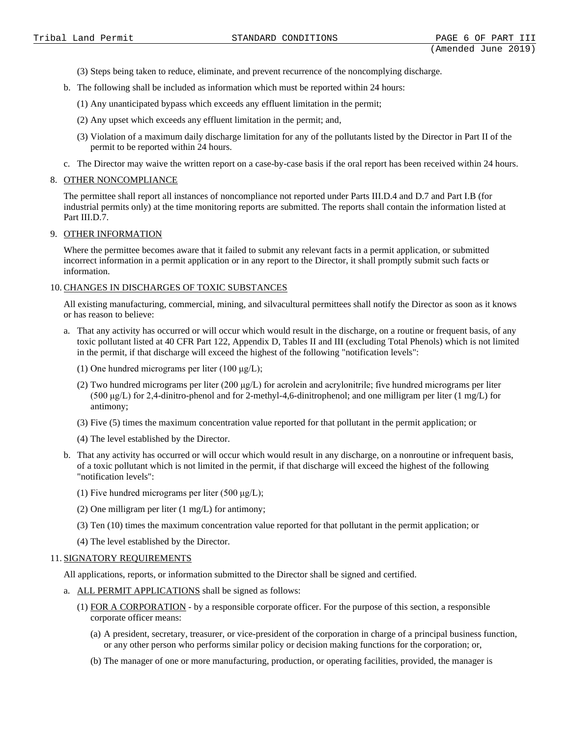- (3) Steps being taken to reduce, eliminate, and prevent recurrence of the noncomplying discharge.
- b. The following shall be included as information which must be reported within 24 hours:
	- (1) Any unanticipated bypass which exceeds any effluent limitation in the permit;
	- (2) Any upset which exceeds any effluent limitation in the permit; and,
	- (3) Violation of a maximum daily discharge limitation for any of the pollutants listed by the Director in Part II of the permit to be reported within 24 hours.
- c. The Director may waive the written report on a case-by-case basis if the oral report has been received within 24 hours.

### 8. OTHER NONCOMPLIANCE

The permittee shall report all instances of noncompliance not reported under Parts III.D.4 and D.7 and Part I.B (for industrial permits only) at the time monitoring reports are submitted. The reports shall contain the information listed at Part III.D.7.

#### 9. OTHER INFORMATION

Where the permittee becomes aware that it failed to submit any relevant facts in a permit application, or submitted incorrect information in a permit application or in any report to the Director, it shall promptly submit such facts or information.

#### 10. CHANGES IN DISCHARGES OF TOXIC SUBSTANCES

All existing manufacturing, commercial, mining, and silvacultural permittees shall notify the Director as soon as it knows or has reason to believe:

- a. That any activity has occurred or will occur which would result in the discharge, on a routine or frequent basis, of any toxic pollutant listed at 40 CFR Part 122, Appendix D, Tables II and III (excluding Total Phenols) which is not limited in the permit, if that discharge will exceed the highest of the following "notification levels":
	- (1) One hundred micrograms per liter  $(100 \mu g/L)$ ;
	- (2) Two hundred micrograms per liter (200  $\mu$ g/L) for acrolein and acrylonitrile; five hundred micrograms per liter (500 μg/L) for 2,4-dinitro-phenol and for 2-methyl-4,6-dinitrophenol; and one milligram per liter (1 mg/L) for antimony;
	- (3) Five (5) times the maximum concentration value reported for that pollutant in the permit application; or
	- (4) The level established by the Director.
- b. That any activity has occurred or will occur which would result in any discharge, on a nonroutine or infrequent basis, of a toxic pollutant which is not limited in the permit, if that discharge will exceed the highest of the following "notification levels":
	- (1) Five hundred micrograms per liter (500  $\mu$ g/L);
	- (2) One milligram per liter (1 mg/L) for antimony;
	- (3) Ten (10) times the maximum concentration value reported for that pollutant in the permit application; or
	- (4) The level established by the Director.

### 11. SIGNATORY REQUIREMENTS

All applications, reports, or information submitted to the Director shall be signed and certified.

- a. ALL PERMIT APPLICATIONS shall be signed as follows:
	- (1) FOR A CORPORATION by a responsible corporate officer. For the purpose of this section, a responsible corporate officer means:
		- (a) A president, secretary, treasurer, or vice-president of the corporation in charge of a principal business function, or any other person who performs similar policy or decision making functions for the corporation; or,
		- (b) The manager of one or more manufacturing, production, or operating facilities, provided, the manager is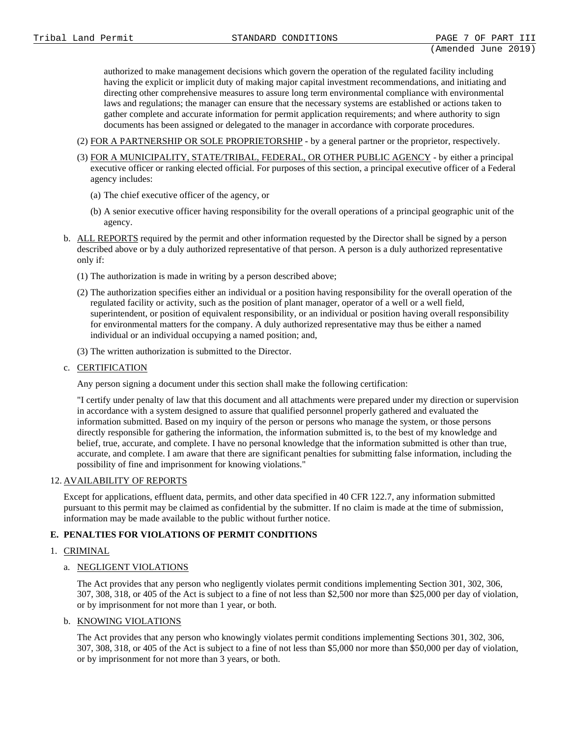authorized to make management decisions which govern the operation of the regulated facility including having the explicit or implicit duty of making major capital investment recommendations, and initiating and directing other comprehensive measures to assure long term environmental compliance with environmental laws and regulations; the manager can ensure that the necessary systems are established or actions taken to gather complete and accurate information for permit application requirements; and where authority to sign documents has been assigned or delegated to the manager in accordance with corporate procedures.

- (2) FOR A PARTNERSHIP OR SOLE PROPRIETORSHIP by a general partner or the proprietor, respectively.
- (3) FOR A MUNICIPALITY, STATE/TRIBAL, FEDERAL, OR OTHER PUBLIC AGENCY by either a principal executive officer or ranking elected official. For purposes of this section, a principal executive officer of a Federal agency includes:
	- (a) The chief executive officer of the agency, or
	- (b) A senior executive officer having responsibility for the overall operations of a principal geographic unit of the agency.
- b. ALL REPORTS required by the permit and other information requested by the Director shall be signed by a person described above or by a duly authorized representative of that person. A person is a duly authorized representative only if:
	- (1) The authorization is made in writing by a person described above;
	- (2) The authorization specifies either an individual or a position having responsibility for the overall operation of the regulated facility or activity, such as the position of plant manager, operator of a well or a well field, superintendent, or position of equivalent responsibility, or an individual or position having overall responsibility for environmental matters for the company. A duly authorized representative may thus be either a named individual or an individual occupying a named position; and,
	- (3) The written authorization is submitted to the Director.
- c. CERTIFICATION

Any person signing a document under this section shall make the following certification:

"I certify under penalty of law that this document and all attachments were prepared under my direction or supervision in accordance with a system designed to assure that qualified personnel properly gathered and evaluated the information submitted. Based on my inquiry of the person or persons who manage the system, or those persons directly responsible for gathering the information, the information submitted is, to the best of my knowledge and belief, true, accurate, and complete. I have no personal knowledge that the information submitted is other than true, accurate, and complete. I am aware that there are significant penalties for submitting false information, including the possibility of fine and imprisonment for knowing violations."

### 12. AVAILABILITY OF REPORTS

Except for applications, effluent data, permits, and other data specified in 40 CFR 122.7, any information submitted pursuant to this permit may be claimed as confidential by the submitter. If no claim is made at the time of submission, information may be made available to the public without further notice.

# **E. PENALTIES FOR VIOLATIONS OF PERMIT CONDITIONS**

# 1. CRIMINAL

# a. NEGLIGENT VIOLATIONS

The Act provides that any person who negligently violates permit conditions implementing Section 301, 302, 306, 307, 308, 318, or 405 of the Act is subject to a fine of not less than \$2,500 nor more than \$25,000 per day of violation, or by imprisonment for not more than 1 year, or both.

### b. KNOWING VIOLATIONS

The Act provides that any person who knowingly violates permit conditions implementing Sections 301, 302, 306, 307, 308, 318, or 405 of the Act is subject to a fine of not less than \$5,000 nor more than \$50,000 per day of violation, or by imprisonment for not more than 3 years, or both.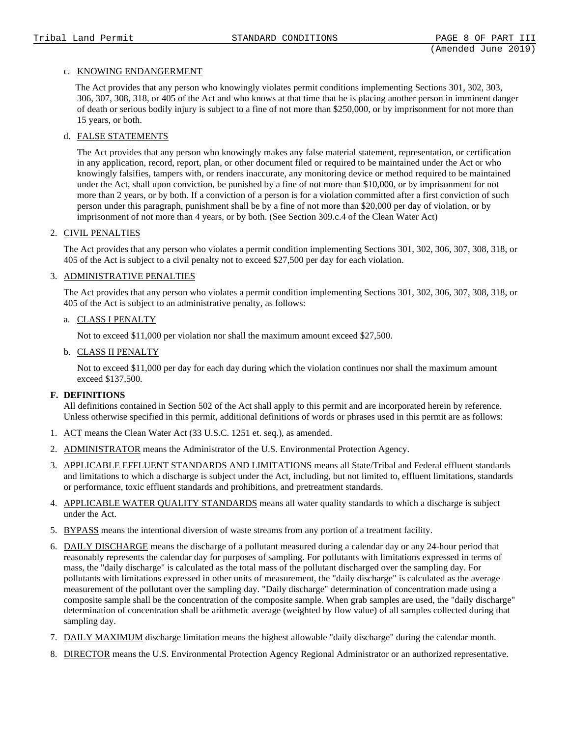### c. KNOWING ENDANGERMENT

The Act provides that any person who knowingly violates permit conditions implementing Sections 301, 302, 303, 306, 307, 308, 318, or 405 of the Act and who knows at that time that he is placing another person in imminent danger of death or serious bodily injury is subject to a fine of not more than \$250,000, or by imprisonment for not more than 15 years, or both.

# d. FALSE STATEMENTS

The Act provides that any person who knowingly makes any false material statement, representation, or certification in any application, record, report, plan, or other document filed or required to be maintained under the Act or who knowingly falsifies, tampers with, or renders inaccurate, any monitoring device or method required to be maintained under the Act, shall upon conviction, be punished by a fine of not more than \$10,000, or by imprisonment for not more than 2 years, or by both. If a conviction of a person is for a violation committed after a first conviction of such person under this paragraph, punishment shall be by a fine of not more than \$20,000 per day of violation, or by imprisonment of not more than 4 years, or by both. (See Section 309.c.4 of the Clean Water Act)

### 2. CIVIL PENALTIES

The Act provides that any person who violates a permit condition implementing Sections 301, 302, 306, 307, 308, 318, or 405 of the Act is subject to a civil penalty not to exceed \$27,500 per day for each violation.

### 3. ADMINISTRATIVE PENALTIES

The Act provides that any person who violates a permit condition implementing Sections 301, 302, 306, 307, 308, 318, or 405 of the Act is subject to an administrative penalty, as follows:

### a. CLASS I PENALTY

Not to exceed \$11,000 per violation nor shall the maximum amount exceed \$27,500.

### b. CLASS II PENALTY

Not to exceed \$11,000 per day for each day during which the violation continues nor shall the maximum amount exceed \$137,500.

### **F. DEFINITIONS**

All definitions contained in Section 502 of the Act shall apply to this permit and are incorporated herein by reference. Unless otherwise specified in this permit, additional definitions of words or phrases used in this permit are as follows:

- 1. ACT means the Clean Water Act (33 U.S.C. 1251 et. seq.), as amended.
- 2. ADMINISTRATOR means the Administrator of the U.S. Environmental Protection Agency.
- 3. APPLICABLE EFFLUENT STANDARDS AND LIMITATIONS means all State/Tribal and Federal effluent standards and limitations to which a discharge is subject under the Act, including, but not limited to, effluent limitations, standards or performance, toxic effluent standards and prohibitions, and pretreatment standards.
- 4. APPLICABLE WATER QUALITY STANDARDS means all water quality standards to which a discharge is subject under the Act.
- 5. BYPASS means the intentional diversion of waste streams from any portion of a treatment facility.
- 6. DAILY DISCHARGE means the discharge of a pollutant measured during a calendar day or any 24-hour period that reasonably represents the calendar day for purposes of sampling. For pollutants with limitations expressed in terms of mass, the "daily discharge" is calculated as the total mass of the pollutant discharged over the sampling day. For pollutants with limitations expressed in other units of measurement, the "daily discharge" is calculated as the average measurement of the pollutant over the sampling day. "Daily discharge" determination of concentration made using a composite sample shall be the concentration of the composite sample. When grab samples are used, the "daily discharge" determination of concentration shall be arithmetic average (weighted by flow value) of all samples collected during that sampling day.
- 7. DAILY MAXIMUM discharge limitation means the highest allowable "daily discharge" during the calendar month.
- 8. DIRECTOR means the U.S. Environmental Protection Agency Regional Administrator or an authorized representative.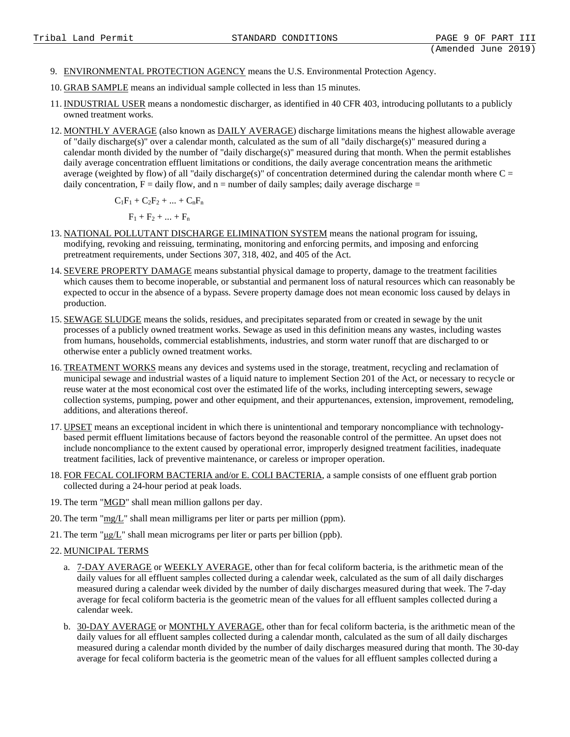- 9. ENVIRONMENTAL PROTECTION AGENCY means the U.S. Environmental Protection Agency.
- 10. GRAB SAMPLE means an individual sample collected in less than 15 minutes.
- 11. INDUSTRIAL USER means a nondomestic discharger, as identified in 40 CFR 403, introducing pollutants to a publicly owned treatment works.
- 12. MONTHLY AVERAGE (also known as DAILY AVERAGE) discharge limitations means the highest allowable average of "daily discharge(s)" over a calendar month, calculated as the sum of all "daily discharge(s)" measured during a calendar month divided by the number of "daily discharge(s)" measured during that month. When the permit establishes daily average concentration effluent limitations or conditions, the daily average concentration means the arithmetic average (weighted by flow) of all "daily discharge(s)" of concentration determined during the calendar month where  $C =$ daily concentration,  $F =$  daily flow, and  $n =$  number of daily samples; daily average discharge =

 $C_1F_1 + C_2F_2 + ... + C_nF_n$ 

 $F_1 + F_2 + ... + F_n$ 

- 13. NATIONAL POLLUTANT DISCHARGE ELIMINATION SYSTEM means the national program for issuing, modifying, revoking and reissuing, terminating, monitoring and enforcing permits, and imposing and enforcing pretreatment requirements, under Sections 307, 318, 402, and 405 of the Act.
- 14. SEVERE PROPERTY DAMAGE means substantial physical damage to property, damage to the treatment facilities which causes them to become inoperable, or substantial and permanent loss of natural resources which can reasonably be expected to occur in the absence of a bypass. Severe property damage does not mean economic loss caused by delays in production.
- 15. SEWAGE SLUDGE means the solids, residues, and precipitates separated from or created in sewage by the unit processes of a publicly owned treatment works. Sewage as used in this definition means any wastes, including wastes from humans, households, commercial establishments, industries, and storm water runoff that are discharged to or otherwise enter a publicly owned treatment works.
- 16. TREATMENT WORKS means any devices and systems used in the storage, treatment, recycling and reclamation of municipal sewage and industrial wastes of a liquid nature to implement Section 201 of the Act, or necessary to recycle or reuse water at the most economical cost over the estimated life of the works, including intercepting sewers, sewage collection systems, pumping, power and other equipment, and their appurtenances, extension, improvement, remodeling, additions, and alterations thereof.
- 17. UPSET means an exceptional incident in which there is unintentional and temporary noncompliance with technologybased permit effluent limitations because of factors beyond the reasonable control of the permittee. An upset does not include noncompliance to the extent caused by operational error, improperly designed treatment facilities, inadequate treatment facilities, lack of preventive maintenance, or careless or improper operation.
- 18. FOR FECAL COLIFORM BACTERIA and/or E. COLI BACTERIA, a sample consists of one effluent grab portion collected during a 24-hour period at peak loads.
- 19. The term "MGD" shall mean million gallons per day.
- 20. The term "mg/L" shall mean milligrams per liter or parts per million (ppm).
- 21. The term " $\mu$ g/L" shall mean micrograms per liter or parts per billion (ppb).
- 22. MUNICIPAL TERMS
	- a. 7-DAY AVERAGE or WEEKLY AVERAGE, other than for fecal coliform bacteria, is the arithmetic mean of the daily values for all effluent samples collected during a calendar week, calculated as the sum of all daily discharges measured during a calendar week divided by the number of daily discharges measured during that week. The 7-day average for fecal coliform bacteria is the geometric mean of the values for all effluent samples collected during a calendar week.
	- b. 30-DAY AVERAGE or MONTHLY AVERAGE, other than for fecal coliform bacteria, is the arithmetic mean of the daily values for all effluent samples collected during a calendar month, calculated as the sum of all daily discharges measured during a calendar month divided by the number of daily discharges measured during that month. The 30-day average for fecal coliform bacteria is the geometric mean of the values for all effluent samples collected during a